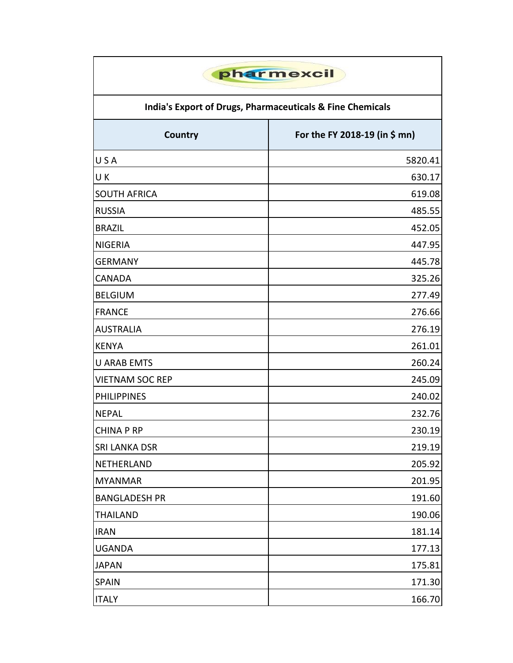| pharmexcil<br>India's Export of Drugs, Pharmaceuticals & Fine Chemicals |         |  |
|-------------------------------------------------------------------------|---------|--|
|                                                                         |         |  |
| USA                                                                     | 5820.41 |  |
| U K                                                                     | 630.17  |  |
| <b>SOUTH AFRICA</b>                                                     | 619.08  |  |
| <b>RUSSIA</b>                                                           | 485.55  |  |
| <b>BRAZIL</b>                                                           | 452.05  |  |
| <b>NIGERIA</b>                                                          | 447.95  |  |
| <b>GERMANY</b>                                                          | 445.78  |  |
| <b>CANADA</b>                                                           | 325.26  |  |
| <b>BELGIUM</b>                                                          | 277.49  |  |
| <b>FRANCE</b>                                                           | 276.66  |  |
| <b>AUSTRALIA</b>                                                        | 276.19  |  |
| <b>KENYA</b>                                                            | 261.01  |  |
| <b>U ARAB EMTS</b>                                                      | 260.24  |  |
| <b>VIETNAM SOC REP</b>                                                  | 245.09  |  |
| <b>PHILIPPINES</b>                                                      | 240.02  |  |
| <b>NEPAL</b>                                                            | 232.76  |  |
| <b>CHINA P RP</b>                                                       | 230.19  |  |
| <b>SRI LANKA DSR</b>                                                    | 219.19  |  |
| NETHERLAND                                                              | 205.92  |  |
| <b>MYANMAR</b>                                                          | 201.95  |  |
| <b>BANGLADESH PR</b>                                                    | 191.60  |  |
| <b>THAILAND</b>                                                         | 190.06  |  |
| <b>IRAN</b>                                                             | 181.14  |  |
| <b>UGANDA</b>                                                           | 177.13  |  |
| <b>JAPAN</b>                                                            | 175.81  |  |
| <b>SPAIN</b>                                                            | 171.30  |  |
| <b>ITALY</b>                                                            | 166.70  |  |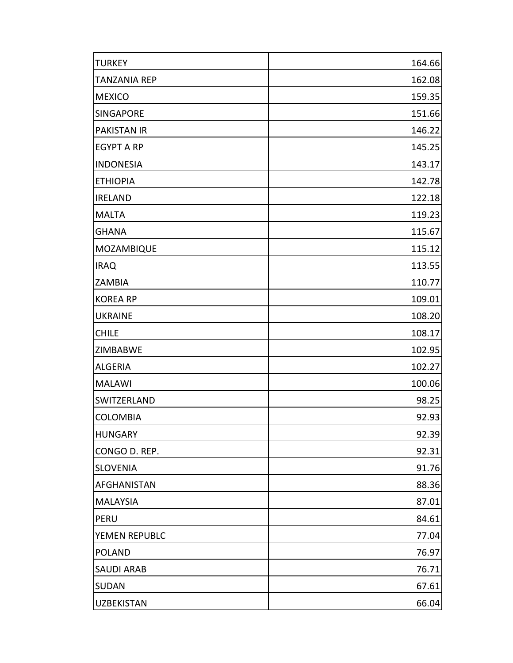| <b>TURKEY</b>       | 164.66 |
|---------------------|--------|
| <b>TANZANIA REP</b> | 162.08 |
| <b>MEXICO</b>       | 159.35 |
| <b>SINGAPORE</b>    | 151.66 |
| <b>PAKISTAN IR</b>  | 146.22 |
| <b>EGYPT A RP</b>   | 145.25 |
| <b>INDONESIA</b>    | 143.17 |
| <b>ETHIOPIA</b>     | 142.78 |
| <b>IRELAND</b>      | 122.18 |
| <b>MALTA</b>        | 119.23 |
| <b>GHANA</b>        | 115.67 |
| MOZAMBIQUE          | 115.12 |
| <b>IRAQ</b>         | 113.55 |
| <b>ZAMBIA</b>       | 110.77 |
| <b>KOREA RP</b>     | 109.01 |
| <b>UKRAINE</b>      | 108.20 |
| <b>CHILE</b>        | 108.17 |
| <b>ZIMBABWE</b>     | 102.95 |
| <b>ALGERIA</b>      | 102.27 |
| <b>MALAWI</b>       | 100.06 |
| <b>SWITZERLAND</b>  | 98.25  |
| <b>COLOMBIA</b>     | 92.93  |
| <b>HUNGARY</b>      | 92.39  |
| CONGO D. REP.       | 92.31  |
| <b>SLOVENIA</b>     | 91.76  |
| <b>AFGHANISTAN</b>  | 88.36  |
| <b>MALAYSIA</b>     | 87.01  |
| PERU                | 84.61  |
| YEMEN REPUBLC       | 77.04  |
| <b>POLAND</b>       | 76.97  |
| <b>SAUDI ARAB</b>   | 76.71  |
| <b>SUDAN</b>        | 67.61  |
| <b>UZBEKISTAN</b>   | 66.04  |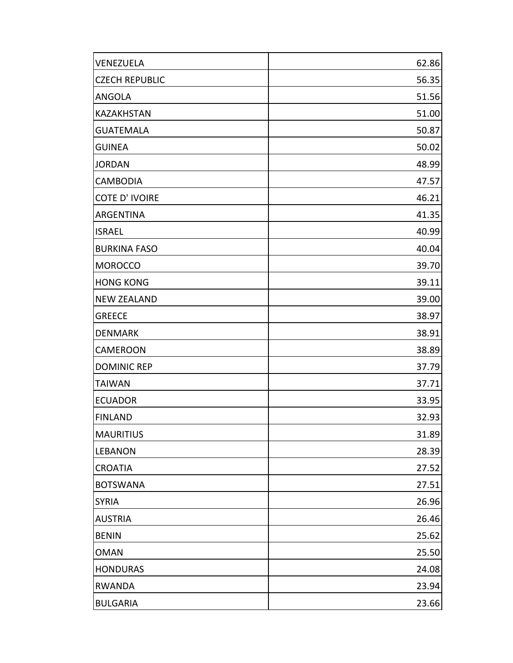| VENEZUELA             | 62.86 |
|-----------------------|-------|
| <b>CZECH REPUBLIC</b> | 56.35 |
| <b>ANGOLA</b>         | 51.56 |
| <b>KAZAKHSTAN</b>     | 51.00 |
| <b>GUATEMALA</b>      | 50.87 |
| <b>GUINEA</b>         | 50.02 |
| <b>JORDAN</b>         | 48.99 |
| <b>CAMBODIA</b>       | 47.57 |
| <b>COTE D'IVOIRE</b>  | 46.21 |
| <b>ARGENTINA</b>      | 41.35 |
| <b>ISRAEL</b>         | 40.99 |
| <b>BURKINA FASO</b>   | 40.04 |
| <b>MOROCCO</b>        | 39.70 |
| <b>HONG KONG</b>      | 39.11 |
| <b>NEW ZEALAND</b>    | 39.00 |
| <b>GREECE</b>         | 38.97 |
| <b>DENMARK</b>        | 38.91 |
| <b>CAMEROON</b>       | 38.89 |
| <b>DOMINIC REP</b>    | 37.79 |
| <b>TAIWAN</b>         | 37.71 |
| <b>ECUADOR</b>        | 33.95 |
| <b>FINLAND</b>        | 32.93 |
| <b>MAURITIUS</b>      | 31.89 |
| <b>LEBANON</b>        | 28.39 |
| <b>CROATIA</b>        | 27.52 |
| <b>BOTSWANA</b>       | 27.51 |
| <b>SYRIA</b>          | 26.96 |
| <b>AUSTRIA</b>        | 26.46 |
| <b>BENIN</b>          | 25.62 |
| <b>OMAN</b>           | 25.50 |
| <b>HONDURAS</b>       | 24.08 |
| <b>RWANDA</b>         | 23.94 |
| <b>BULGARIA</b>       | 23.66 |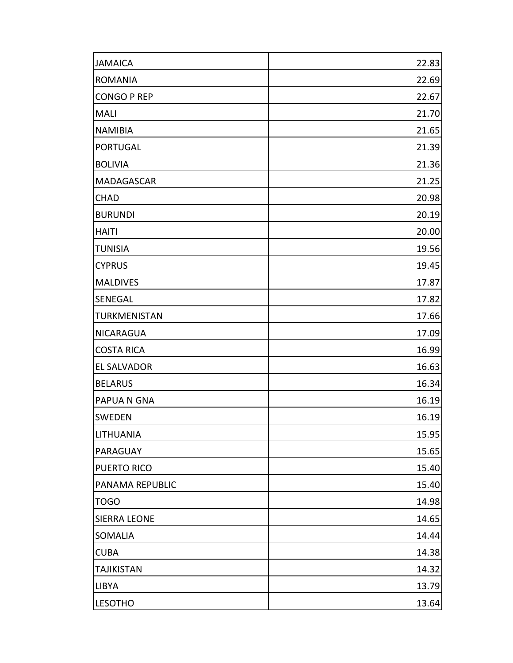| <b>JAMAICA</b>      | 22.83 |
|---------------------|-------|
| <b>ROMANIA</b>      | 22.69 |
| <b>CONGO P REP</b>  | 22.67 |
| <b>MALI</b>         | 21.70 |
| <b>NAMIBIA</b>      | 21.65 |
| <b>PORTUGAL</b>     | 21.39 |
| <b>BOLIVIA</b>      | 21.36 |
| <b>MADAGASCAR</b>   | 21.25 |
| <b>CHAD</b>         | 20.98 |
| <b>BURUNDI</b>      | 20.19 |
| <b>HAITI</b>        | 20.00 |
| <b>TUNISIA</b>      | 19.56 |
| <b>CYPRUS</b>       | 19.45 |
| <b>MALDIVES</b>     | 17.87 |
| <b>SENEGAL</b>      | 17.82 |
| <b>TURKMENISTAN</b> | 17.66 |
| <b>NICARAGUA</b>    | 17.09 |
| <b>COSTA RICA</b>   | 16.99 |
| <b>EL SALVADOR</b>  | 16.63 |
| <b>BELARUS</b>      | 16.34 |
| <b>PAPUA N GNA</b>  | 16.19 |
| <b>SWEDEN</b>       | 16.19 |
| <b>LITHUANIA</b>    | 15.95 |
| PARAGUAY            | 15.65 |
| <b>PUERTO RICO</b>  | 15.40 |
| PANAMA REPUBLIC     | 15.40 |
| <b>TOGO</b>         | 14.98 |
| <b>SIERRA LEONE</b> | 14.65 |
| <b>SOMALIA</b>      | 14.44 |
| <b>CUBA</b>         | 14.38 |
| <b>TAJIKISTAN</b>   | 14.32 |
| <b>LIBYA</b>        | 13.79 |
| <b>LESOTHO</b>      | 13.64 |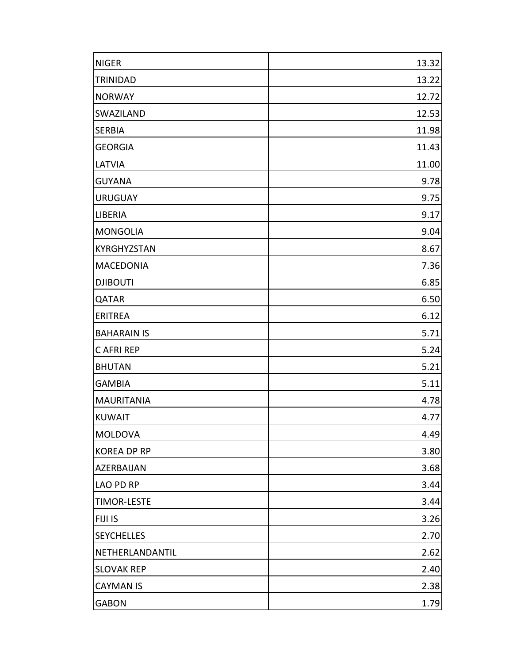| <b>NIGER</b>       | 13.32 |
|--------------------|-------|
| <b>TRINIDAD</b>    | 13.22 |
| <b>NORWAY</b>      | 12.72 |
| <b>SWAZILAND</b>   | 12.53 |
| <b>SERBIA</b>      | 11.98 |
| <b>GEORGIA</b>     | 11.43 |
| <b>LATVIA</b>      | 11.00 |
| <b>GUYANA</b>      | 9.78  |
| <b>URUGUAY</b>     | 9.75  |
| <b>LIBERIA</b>     | 9.17  |
| <b>MONGOLIA</b>    | 9.04  |
| <b>KYRGHYZSTAN</b> | 8.67  |
| <b>MACEDONIA</b>   | 7.36  |
| <b>DJIBOUTI</b>    | 6.85  |
| <b>QATAR</b>       | 6.50  |
| <b>ERITREA</b>     | 6.12  |
| <b>BAHARAIN IS</b> | 5.71  |
| <b>CAFRI REP</b>   | 5.24  |
| <b>BHUTAN</b>      | 5.21  |
| <b>GAMBIA</b>      | 5.11  |
| <b>MAURITANIA</b>  | 4.78  |
| <b>KUWAIT</b>      | 4.77  |
| <b>MOLDOVA</b>     | 4.49  |
| <b>KOREA DP RP</b> | 3.80  |
| <b>AZERBAIJAN</b>  | 3.68  |
| <b>LAO PD RP</b>   | 3.44  |
| <b>TIMOR-LESTE</b> | 3.44  |
| <b>FIJI IS</b>     | 3.26  |
| <b>SEYCHELLES</b>  | 2.70  |
| NETHERLANDANTIL    | 2.62  |
| <b>SLOVAK REP</b>  | 2.40  |
| <b>CAYMAN IS</b>   | 2.38  |
| <b>GABON</b>       | 1.79  |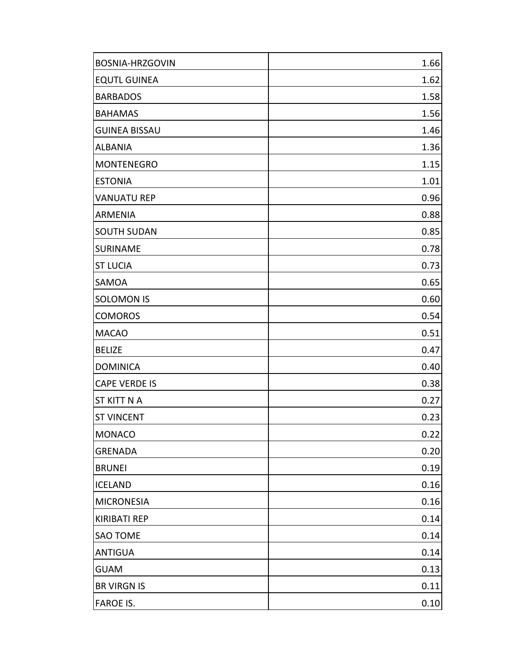| BOSNIA-HRZGOVIN      | 1.66 |
|----------------------|------|
| <b>EQUTL GUINEA</b>  | 1.62 |
| <b>BARBADOS</b>      | 1.58 |
| <b>BAHAMAS</b>       | 1.56 |
| <b>GUINEA BISSAU</b> | 1.46 |
| <b>ALBANIA</b>       | 1.36 |
| <b>MONTENEGRO</b>    | 1.15 |
| <b>ESTONIA</b>       | 1.01 |
| <b>VANUATU REP</b>   | 0.96 |
| <b>ARMENIA</b>       | 0.88 |
| <b>SOUTH SUDAN</b>   | 0.85 |
| SURINAME             | 0.78 |
| <b>ST LUCIA</b>      | 0.73 |
| <b>SAMOA</b>         | 0.65 |
| <b>SOLOMON IS</b>    | 0.60 |
| <b>COMOROS</b>       | 0.54 |
| <b>MACAO</b>         | 0.51 |
| <b>BELIZE</b>        | 0.47 |
| <b>DOMINICA</b>      | 0.40 |
| <b>CAPE VERDE IS</b> | 0.38 |
| <b>ST KITT N A</b>   | 0.27 |
| <b>ST VINCENT</b>    | 0.23 |
| <b>MONACO</b>        | 0.22 |
| <b>GRENADA</b>       | 0.20 |
| <b>BRUNEI</b>        | 0.19 |
| <b>ICELAND</b>       | 0.16 |
| <b>MICRONESIA</b>    | 0.16 |
| <b>KIRIBATI REP</b>  | 0.14 |
| <b>SAO TOME</b>      | 0.14 |
| <b>ANTIGUA</b>       | 0.14 |
| <b>GUAM</b>          | 0.13 |
| <b>BR VIRGN IS</b>   | 0.11 |
| <b>FAROE IS.</b>     | 0.10 |